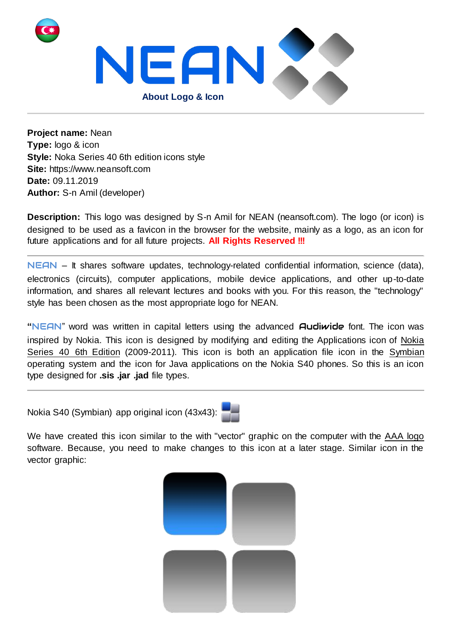

**Project name:** Nean **Type:** logo & icon **Style:** Noka Series 40 6th edition icons style **Site:** https://www.neansoft.com **Date:** 09.11.2019 **Author:** S-n Amil (developer)

**Description:** This logo was designed by S-n Amil for NEAN (neansoft.com). The logo (or icon) is designed to be used as a favicon in the browser for the website, mainly as a logo, as an icon for future applications and for all future projects. **All Rights Reserved !!!**

NEAN – It shares software updates, technology-related confidential information, science (data), electronics (circuits), computer applications, mobile device applications, and other up-to-date information, and shares all relevant lectures and books with you. For this reason, the "technology" style has been chosen as the most appropriate logo for NEAN.

**"**NEAN" word was written in capital letters using the advanced Audiwide font. The icon was inspired by Nokia. This icon is designed by modifying and editing the Applications icon of Nokia Series 40 6th Edition (2009-2011). This icon is both an application file icon in the Symbian operating system and the icon for Java applications on the Nokia S40 phones. So this is an icon type designed for **.sis .jar .jad** file types.

Nokia S40 (Symbian) app original icon (43x43):



We have created this icon similar to the with "vector" graphic on the computer with the AAA logo software. Because, you need to make changes to this icon at a later stage. Similar icon in the vector graphic:

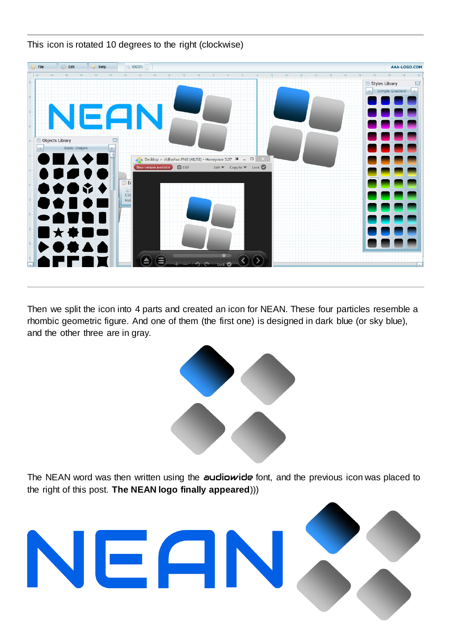

This icon is rotated 10 degrees to the right (clockwise)

Then we split the icon into 4 parts and created an icon for NEAN. These four particles resemble a rhombic geometric figure. And one of them (the first one) is designed in dark blue (or sky blue), and the other three are in gray.



The NEAN word was then written using the audiowide font, and the previous icon was placed to the right of this post. **The NEAN logo finally appeared**)))

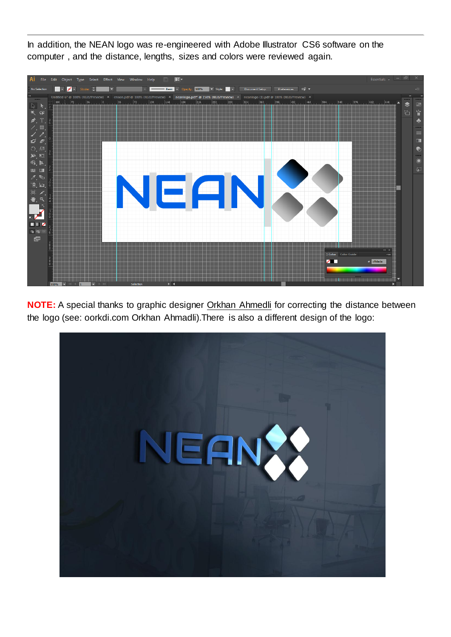In addition, the NEAN logo was re-engineered with Adobe Illustrator CS6 software on the computer , and the distance, lengths, sizes and colors were reviewed again.



**NOTE:** A special thanks to graphic designer Orkhan Ahmedli for correcting the distance between the logo (see: oorkdi.com Orkhan Ahmadli).There is also a different design of the logo: